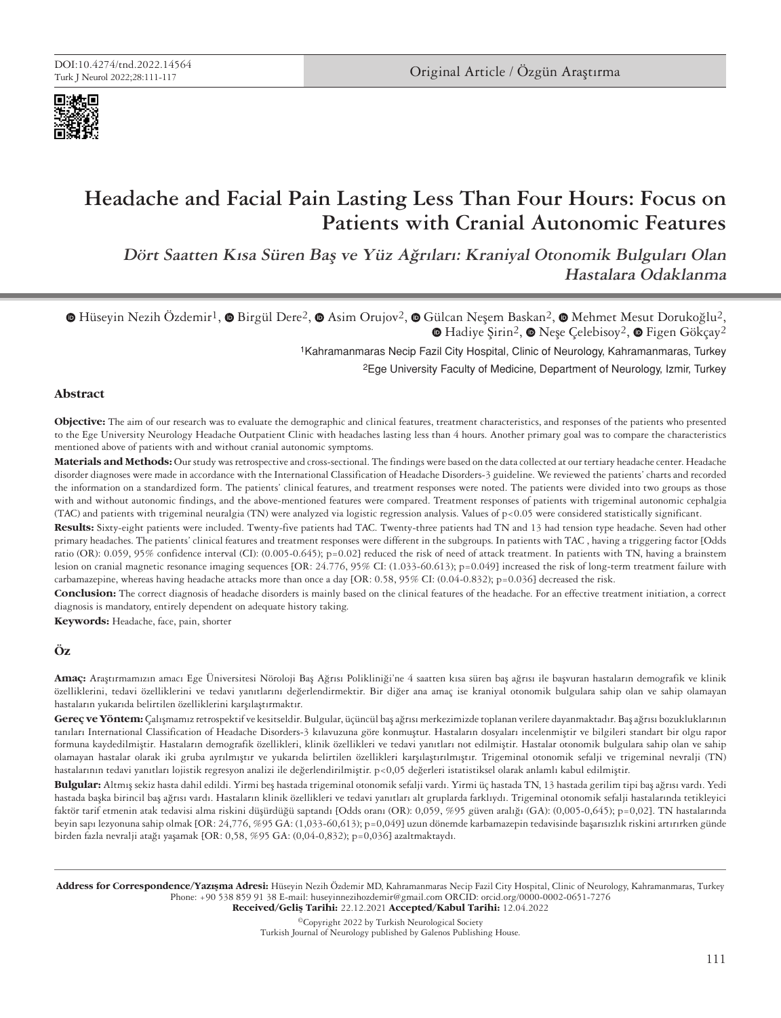

# **Headache and Facial Pain Lasting Less Than Four Hours: Focus on Patients with Cranial Autonomic Features**

**Dört Saatten Kısa Süren Baş ve Yüz Ağrıları: Kraniyal Otonomik Bulguları Olan Hastalara Odaklanma**

**©** [H](https://orcid.org/0000-0002-0651-7276)üseyinNezih Özdemir<sup>1</sup>, **©** Birgül Dere<sup>2</sup>, **©** Asim Orujov<sup>2</sup>, ● Gülcan Neşem Baskan<sup>2</sup>, ● Mehmet Mesut Dorukoğlu<sup>2</sup>,  $\bullet$ Hadiye Şirin<sup>2</sup>,  $\bullet$  Neşe Çelebisoy<sup>2</sup>,  $\bullet$  Figen Gökçay<sup>2</sup>

1Kahramanmaras Necip Fazil City Hospital, Clinic of Neurology, Kahramanmaras, Turkey

2Ege University Faculty of Medicine, Department of Neurology, Izmir, Turkey

### **Abstract**

**Objective:** The aim of our research was to evaluate the demographic and clinical features, treatment characteristics, and responses of the patients who presented to the Ege University Neurology Headache Outpatient Clinic with headaches lasting less than 4 hours. Another primary goal was to compare the characteristics mentioned above of patients with and without cranial autonomic symptoms.

**Materials and Methods:** Our study was retrospective and cross-sectional. The findings were based on the data collected at our tertiary headache center. Headache disorder diagnoses were made in accordance with the International Classification of Headache Disorders-3 guideline. We reviewed the patients' charts and recorded the information on a standardized form. The patients' clinical features, and treatment responses were noted. The patients were divided into two groups as those with and without autonomic findings, and the above-mentioned features were compared. Treatment responses of patients with trigeminal autonomic cephalgia (TAC) and patients with trigeminal neuralgia (TN) were analyzed via logistic regression analysis. Values of p<0.05 were considered statistically significant.

**Results:** Sixty-eight patients were included. Twenty-five patients had TAC. Twenty-three patients had TN and 13 had tension type headache. Seven had other primary headaches. The patients' clinical features and treatment responses were different in the subgroups. In patients with TAC , having a triggering factor [Odds ratio (OR): 0.059, 95% confidence interval (CI): (0.005-0.645); p=0.02] reduced the risk of need of attack treatment. In patients with TN, having a brainstem lesion on cranial magnetic resonance imaging sequences [OR: 24.776, 95% CI: (1.033-60.613); p=0.049] increased the risk of long-term treatment failure with carbamazepine, whereas having headache attacks more than once a day [OR: 0.58, 95% CI: (0.04-0.832); p=0.036] decreased the risk.

**Conclusion:** The correct diagnosis of headache disorders is mainly based on the clinical features of the headache. For an effective treatment initiation, a correct diagnosis is mandatory, entirely dependent on adequate history taking.

**Keywords:** Headache, face, pain, shorter

### **Öz**

**Amaç:** Araştırmamızın amacı Ege Üniversitesi Nöroloji Baş Ağrısı Polikliniği'ne 4 saatten kısa süren baş ağrısı ile başvuran hastaların demografik ve klinik özelliklerini, tedavi özelliklerini ve tedavi yanıtlarını değerlendirmektir. Bir diğer ana amaç ise kraniyal otonomik bulgulara sahip olan ve sahip olamayan hastaların yukarıda belirtilen özelliklerini karşılaştırmaktır.

**Gereç ve Yöntem:** Çalışmamız retrospektif ve kesitseldir. Bulgular, üçüncül baş ağrısı merkezimizde toplanan verilere dayanmaktadır. Baş ağrısı bozukluklarının tanıları International Classification of Headache Disorders-3 kılavuzuna göre konmuştur. Hastaların dosyaları incelenmiştir ve bilgileri standart bir olgu rapor formuna kaydedilmiştir. Hastaların demografik özellikleri, klinik özellikleri ve tedavi yanıtları not edilmiştir. Hastalar otonomik bulgulara sahip olan ve sahip olamayan hastalar olarak iki gruba ayrılmıştır ve yukarıda belirtilen özellikleri karşılaştırılmıştır. Trigeminal otonomik sefalji ve trigeminal nevralji (TN) hastalarının tedavi yanıtları lojistik regresyon analizi ile değerlendirilmiştir. p<0,05 değerleri istatistiksel olarak anlamlı kabul edilmiştir.

**Bulgular:** Altmış sekiz hasta dahil edildi. Yirmi beş hastada trigeminal otonomik sefalji vardı. Yirmi üç hastada TN, 13 hastada gerilim tipi baş ağrısı vardı. Yedi hastada başka birincil baş ağrısı vardı. Hastaların klinik özellikleri ve tedavi yanıtları alt gruplarda farklıydı. Trigeminal otonomik sefalji hastalarında tetikleyici faktör tarif etmenin atak tedavisi alma riskini düşürdüğü saptandı [Odds oranı (OR): 0,059, %95 güven aralığı (GA): (0,005-0,645); p=0,02]. TN hastalarında beyin sapı lezyonuna sahip olmak [OR: 24,776, %95 GA: (1,033-60,613); p=0,049] uzun dönemde karbamazepin tedavisinde başarısızlık riskini artırırken günde birden fazla nevralji atağı yaşamak [OR: 0,58, %95 GA: (0,04-0,832); p=0,036] azaltmaktaydı.

Address for Correspondence/Yazışma Adresi: Hüseyin Nezih Özdemir MD, Kahramanmaras Necip Fazil City Hospital, Clinic of Neurology, Kahramanmaras, Turkey Phone: +90 538 859 91 38 E-mail: huseyinnezihozdemir@gmail.com ORCID: orcid.org/0000-0002-0651-7276 Received/Geliş Tarihi: 22.12.2021 Accepted/Kabul Tarihi: 12.04.2022

©Copyright 2022 by Turkish Neurological Society Turkish Journal of Neurology published by Galenos Publishing House.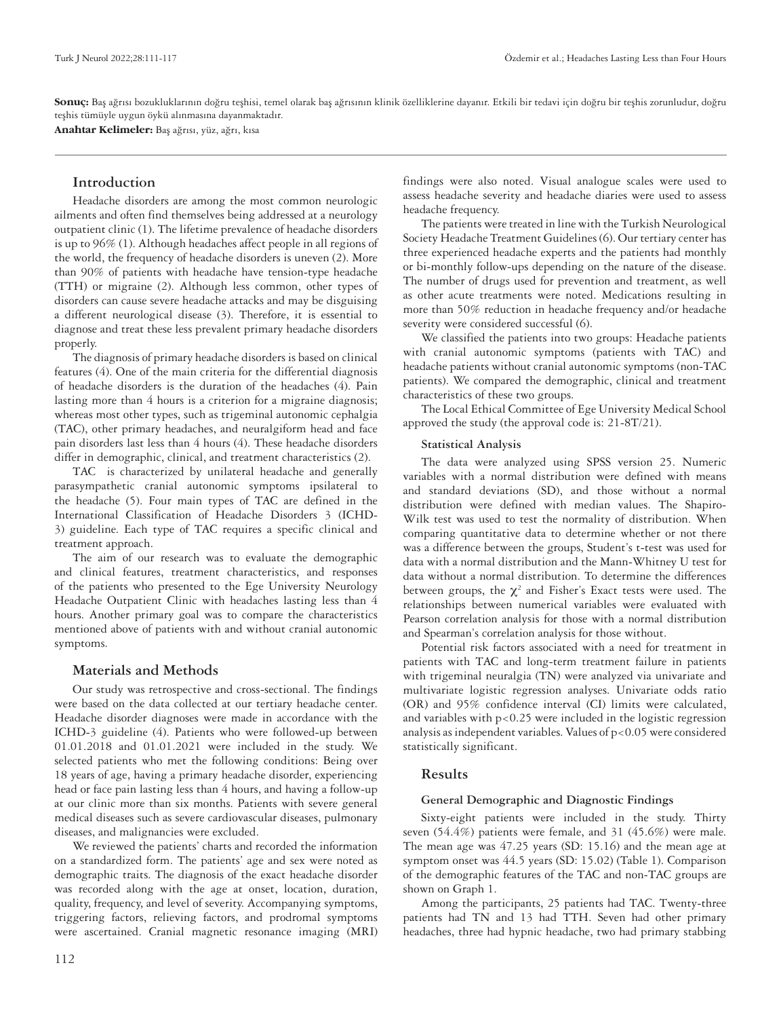**Sonuç:** Baş ağrısı bozukluklarının doğru teşhisi, temel olarak baş ağrısının klinik özelliklerine dayanır. Etkili bir tedavi için doğru bir teşhis zorunludur, doğru teşhis tümüyle uygun öykü alınmasına dayanmaktadır.

**Anahtar Kelimeler:** Baş ağrısı, yüz, ağrı, kısa

# **Introduction**

Headache disorders are among the most common neurologic ailments and often find themselves being addressed at a neurology outpatient clinic (1). The lifetime prevalence of headache disorders is up to 96% (1). Although headaches affect people in all regions of the world, the frequency of headache disorders is uneven (2). More than 90% of patients with headache have tension-type headache (TTH) or migraine (2). Although less common, other types of disorders can cause severe headache attacks and may be disguising a different neurological disease (3). Therefore, it is essential to diagnose and treat these less prevalent primary headache disorders properly.

The diagnosis of primary headache disorders is based on clinical features (4). One of the main criteria for the differential diagnosis of headache disorders is the duration of the headaches (4). Pain lasting more than 4 hours is a criterion for a migraine diagnosis; whereas most other types, such as trigeminal autonomic cephalgia (TAC), other primary headaches, and neuralgiform head and face pain disorders last less than 4 hours (4). These headache disorders differ in demographic, clinical, and treatment characteristics (2).

TAC is characterized by unilateral headache and generally parasympathetic cranial autonomic symptoms ipsilateral to the headache (5). Four main types of TAC are defined in the International Classification of Headache Disorders 3 (ICHD-3) guideline. Each type of TAC requires a specific clinical and treatment approach.

The aim of our research was to evaluate the demographic and clinical features, treatment characteristics, and responses of the patients who presented to the Ege University Neurology Headache Outpatient Clinic with headaches lasting less than 4 hours. Another primary goal was to compare the characteristics mentioned above of patients with and without cranial autonomic symptoms.

# **Materials and Methods**

Our study was retrospective and cross-sectional. The findings were based on the data collected at our tertiary headache center. Headache disorder diagnoses were made in accordance with the ICHD-3 guideline (4). Patients who were followed-up between 01.01.2018 and 01.01.2021 were included in the study. We selected patients who met the following conditions: Being over 18 years of age, having a primary headache disorder, experiencing head or face pain lasting less than 4 hours, and having a follow-up at our clinic more than six months. Patients with severe general medical diseases such as severe cardiovascular diseases, pulmonary diseases, and malignancies were excluded.

We reviewed the patients' charts and recorded the information on a standardized form. The patients' age and sex were noted as demographic traits. The diagnosis of the exact headache disorder was recorded along with the age at onset, location, duration, quality, frequency, and level of severity. Accompanying symptoms, triggering factors, relieving factors, and prodromal symptoms were ascertained. Cranial magnetic resonance imaging (MRI) findings were also noted. Visual analogue scales were used to assess headache severity and headache diaries were used to assess headache frequency.

The patients were treated in line with the Turkish Neurological Society Headache Treatment Guidelines (6). Our tertiary center has three experienced headache experts and the patients had monthly or bi-monthly follow-ups depending on the nature of the disease. The number of drugs used for prevention and treatment, as well as other acute treatments were noted. Medications resulting in more than 50% reduction in headache frequency and/or headache severity were considered successful (6).

We classified the patients into two groups: Headache patients with cranial autonomic symptoms (patients with TAC) and headache patients without cranial autonomic symptoms (non-TAC patients). We compared the demographic, clinical and treatment characteristics of these two groups.

The Local Ethical Committee of Ege University Medical School approved the study (the approval code is: 21-8T/21).

### **Statistical Analysis**

The data were analyzed using SPSS version 25. Numeric variables with a normal distribution were defined with means and standard deviations (SD), and those without a normal distribution were defined with median values. The Shapiro-Wilk test was used to test the normality of distribution. When comparing quantitative data to determine whether or not there was a difference between the groups, Student's t-test was used for data with a normal distribution and the Mann-Whitney U test for data without a normal distribution. To determine the differences between groups, the  $\chi^2$  and Fisher's Exact tests were used. The relationships between numerical variables were evaluated with Pearson correlation analysis for those with a normal distribution and Spearman's correlation analysis for those without.

Potential risk factors associated with a need for treatment in patients with TAC and long-term treatment failure in patients with trigeminal neuralgia (TN) were analyzed via univariate and multivariate logistic regression analyses. Univariate odds ratio (OR) and 95% confidence interval (CI) limits were calculated, and variables with p<0.25 were included in the logistic regression analysis as independent variables. Values of  $p < 0.05$  were considered statistically significant.

# **Results**

### **General Demographic and Diagnostic Findings**

Sixty-eight patients were included in the study. Thirty seven (54.4%) patients were female, and 31 (45.6%) were male. The mean age was 47.25 years (SD: 15.16) and the mean age at symptom onset was 44.5 years (SD: 15.02) (Table 1). Comparison of the demographic features of the TAC and non-TAC groups are shown on Graph 1.

Among the participants, 25 patients had TAC. Twenty-three patients had TN and 13 had TTH. Seven had other primary headaches, three had hypnic headache, two had primary stabbing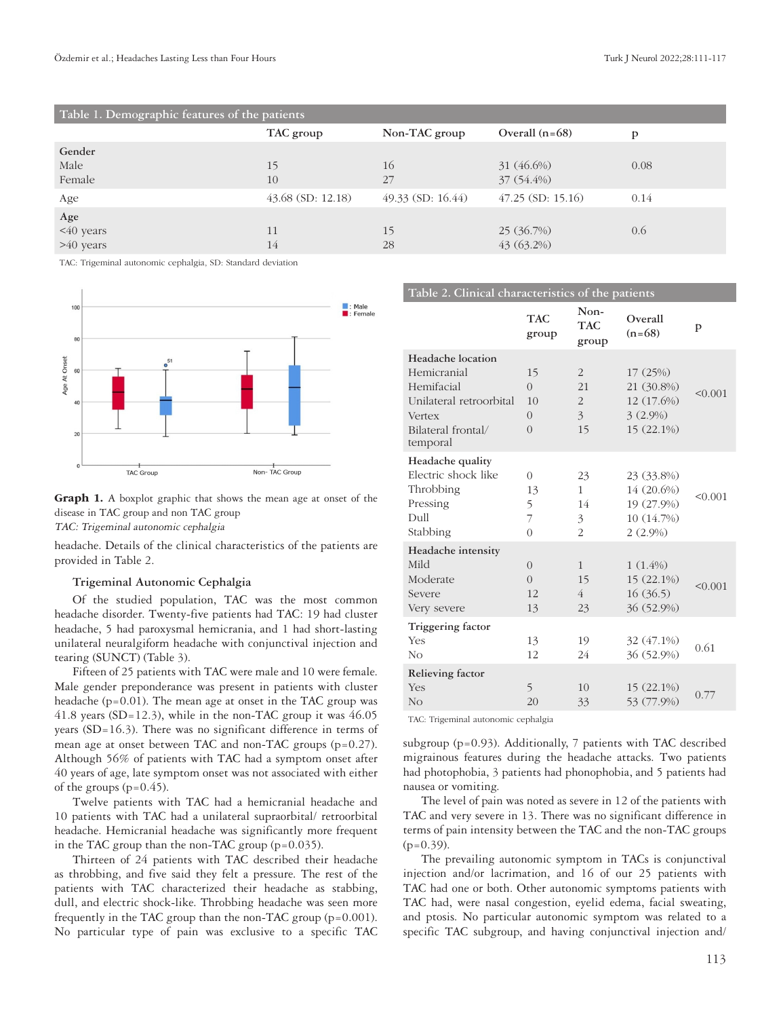| Table 1. Demographic features of the patients |                     |                     |                          |      |  |  |  |
|-----------------------------------------------|---------------------|---------------------|--------------------------|------|--|--|--|
|                                               | TAC group           | Non-TAC group       | Overall $(n=68)$         | D    |  |  |  |
| Gender<br>Male<br>Female                      | 15<br>10            | 16<br>27            | 31 (46.6%)<br>37 (54.4%) | 0.08 |  |  |  |
| Age                                           | $43.68$ (SD: 12.18) | $49.33$ (SD: 16.44) | $47.25$ (SD: 15.16)      | 0.14 |  |  |  |
| Age<br><40 years<br>$>40$ years               | 11<br>14            | 15<br>28            | 25(36.7%)<br>43 (63.2%)  | 0.6  |  |  |  |

TAC: Trigeminal autonomic cephalgia, SD: Standard deviation



**Graph 1.** A boxplot graphic that shows the mean age at onset of the disease in TAC group and non TAC group TAC: Trigeminal autonomic cephalgia

headache. Details of the clinical characteristics of the patients are provided in Table 2.

### **Trigeminal Autonomic Cephalgia**

Of the studied population, TAC was the most common headache disorder. Twenty-five patients had TAC: 19 had cluster headache, 5 had paroxysmal hemicrania, and 1 had short-lasting unilateral neuralgiform headache with conjunctival injection and tearing (SUNCT) (Table 3).

Fifteen of 25 patients with TAC were male and 10 were female. Male gender preponderance was present in patients with cluster headache (p=0.01). The mean age at onset in the TAC group was 41.8 years (SD=12.3), while in the non-TAC group it was  $46.05$ years (SD=16.3). There was no significant difference in terms of mean age at onset between TAC and non-TAC groups (p=0.27). Although 56% of patients with TAC had a symptom onset after 40 years of age, late symptom onset was not associated with either of the groups  $(p=0.45)$ .

Twelve patients with TAC had a hemicranial headache and 10 patients with TAC had a unilateral supraorbital/ retroorbital headache. Hemicranial headache was significantly more frequent in the TAC group than the non-TAC group  $(p=0.035)$ .

Thirteen of 24 patients with TAC described their headache as throbbing, and five said they felt a pressure. The rest of the patients with TAC characterized their headache as stabbing, dull, and electric shock-like. Throbbing headache was seen more frequently in the TAC group than the non-TAC group (p=0.001). No particular type of pain was exclusive to a specific TAC

| Table 2. Clinical characteristics of the patients                                                                            |                                                    |                                                   |                                                                    |         |  |  |
|------------------------------------------------------------------------------------------------------------------------------|----------------------------------------------------|---------------------------------------------------|--------------------------------------------------------------------|---------|--|--|
|                                                                                                                              | <b>TAC</b><br>group                                | Non-<br><b>TAC</b><br>group                       | Overall<br>$(n=68)$                                                | p       |  |  |
| Headache location<br>Hemicranial<br>Hemifacial<br>Unilateral retroorbital<br><b>Vertex</b><br>Bilateral frontal/<br>temporal | 15<br>$\Omega$<br>10<br>$\overline{0}$<br>$\Omega$ | $\overline{2}$<br>21<br>$\overline{2}$<br>3<br>15 | 17(25%)<br>21 (30.8%)<br>12 (17.6%)<br>$3(2.9\%)$<br>15 (22.1%)    | < 0.001 |  |  |
| Headache quality<br>Electric shock like<br>Throbbing<br>Pressing<br>Dull<br>Stabbing                                         | $\Omega$<br>13<br>5<br>7<br>$\theta$               | 23<br>$\mathbf{1}$<br>14<br>3<br>$\overline{2}$   | 23 (33.8%)<br>14 (20.6%)<br>19 (27.9%)<br>10 (14.7%)<br>$2(2.9\%)$ | < 0.001 |  |  |
| Headache intensity<br>Mild<br>Moderate<br>Severe<br>Very severe                                                              | $\Omega$<br>$\Omega$<br>12<br>13                   | $\mathbf{1}$<br>15<br>4<br>23                     | $1(1.4\%)$<br>15 (22.1%)<br>16(36.5)<br>36 (52.9%)                 | < 0.001 |  |  |
| Triggering factor<br><b>Yes</b><br>N <sub>O</sub>                                                                            | 13<br>12                                           | 19<br>24                                          | 32 (47.1%)<br>36 (52.9%)                                           | 0.61    |  |  |
| Relieving factor<br><b>Yes</b><br>N <sub>O</sub>                                                                             | 5<br>20                                            | 10<br>33                                          | $15(22.1\%)$<br>53 (77.9%)                                         | 0.77    |  |  |

TAC: Trigeminal autonomic cephalgia

subgroup (p=0.93). Additionally, 7 patients with TAC described migrainous features during the headache attacks. Two patients had photophobia, 3 patients had phonophobia, and 5 patients had nausea or vomiting.

The level of pain was noted as severe in 12 of the patients with TAC and very severe in 13. There was no significant difference in terms of pain intensity between the TAC and the non-TAC groups  $(p=0.39)$ .

The prevailing autonomic symptom in TACs is conjunctival injection and/or lacrimation, and 16 of our 25 patients with TAC had one or both. Other autonomic symptoms patients with TAC had, were nasal congestion, eyelid edema, facial sweating, and ptosis. No particular autonomic symptom was related to a specific TAC subgroup, and having conjunctival injection and/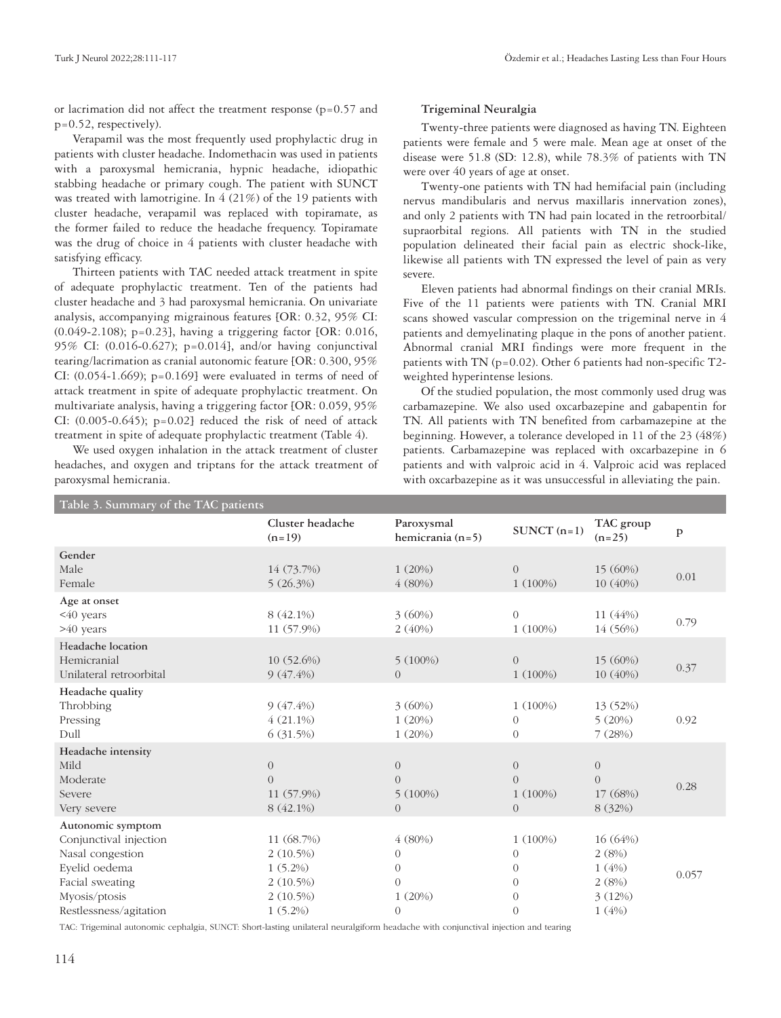or lacrimation did not affect the treatment response  $(p=0.57$  and p=0.52, respectively).

Verapamil was the most frequently used prophylactic drug in patients with cluster headache. Indomethacin was used in patients with a paroxysmal hemicrania, hypnic headache, idiopathic stabbing headache or primary cough. The patient with SUNCT was treated with lamotrigine. In 4 (21%) of the 19 patients with cluster headache, verapamil was replaced with topiramate, as the former failed to reduce the headache frequency. Topiramate was the drug of choice in 4 patients with cluster headache with satisfying efficacy.

Thirteen patients with TAC needed attack treatment in spite of adequate prophylactic treatment. Ten of the patients had cluster headache and 3 had paroxysmal hemicrania. On univariate analysis, accompanying migrainous features [OR: 0.32, 95% CI: (0.049-2.108); p=0.23], having a triggering factor [OR: 0.016, 95% CI: (0.016-0.627); p=0.014], and/or having conjunctival tearing/lacrimation as cranial autonomic feature [OR: 0.300, 95% CI:  $(0.054-1.669)$ ; p= $0.169$ ] were evaluated in terms of need of attack treatment in spite of adequate prophylactic treatment. On multivariate analysis, having a triggering factor [OR: 0.059, 95% CI:  $(0.005-0.645)$ ;  $p=0.02$ ] reduced the risk of need of attack treatment in spite of adequate prophylactic treatment (Table 4).

We used oxygen inhalation in the attack treatment of cluster headaches, and oxygen and triptans for the attack treatment of paroxysmal hemicrania.

# **Trigeminal Neuralgia**

Twenty-three patients were diagnosed as having TN. Eighteen patients were female and 5 were male. Mean age at onset of the disease were 51.8 (SD: 12.8), while 78.3% of patients with TN were over 40 years of age at onset.

Twenty-one patients with TN had hemifacial pain (including nervus mandibularis and nervus maxillaris innervation zones), and only 2 patients with TN had pain located in the retroorbital/ supraorbital regions. All patients with TN in the studied population delineated their facial pain as electric shock-like, likewise all patients with TN expressed the level of pain as very severe.

Eleven patients had abnormal findings on their cranial MRIs. Five of the 11 patients were patients with TN. Cranial MRI scans showed vascular compression on the trigeminal nerve in 4 patients and demyelinating plaque in the pons of another patient. Abnormal cranial MRI findings were more frequent in the patients with TN (p=0.02). Other 6 patients had non-specific T2 weighted hyperintense lesions.

Of the studied population, the most commonly used drug was carbamazepine. We also used oxcarbazepine and gabapentin for TN. All patients with TN benefited from carbamazepine at the beginning. However, a tolerance developed in 11 of the 23 (48%) patients. Carbamazepine was replaced with oxcarbazepine in 6 patients and with valproic acid in 4. Valproic acid was replaced with oxcarbazepine as it was unsuccessful in alleviating the pain.

| Table 3. Summary of the TAC patients |                              |                                  |                |                       |              |  |  |
|--------------------------------------|------------------------------|----------------------------------|----------------|-----------------------|--------------|--|--|
|                                      | Cluster headache<br>$(n=19)$ | Paroxysmal<br>hemicrania $(n=5)$ | $SUNCT (n=1)$  | TAC group<br>$(n=25)$ | $\mathbf{p}$ |  |  |
| Gender                               |                              |                                  |                |                       |              |  |  |
| Male                                 | 14 (73.7%)                   | 1(20%)                           | $\overline{0}$ | 15 (60%)              | 0.01         |  |  |
| Female                               | $5(26.3\%)$                  | 4(80%)                           | $1(100\%)$     | 10 (40%)              |              |  |  |
| Age at onset                         |                              |                                  |                |                       |              |  |  |
| <40 years                            | 8 (42.1%)                    | 3(60%)                           | $\overline{0}$ | 11 (44%)              |              |  |  |
| >40 years                            | 11 (57.9%)                   | 2(40%)                           | $1(100\%)$     | 14 (56%)              | 0.79         |  |  |
| Headache location                    |                              |                                  |                |                       |              |  |  |
| Hemicranial                          | $10(52.6\%)$                 | $5(100\%)$                       | $\overline{0}$ | 15 (60%)              |              |  |  |
| Unilateral retroorbital              | $9(47.4\%)$                  | $\overline{0}$                   | 1(100%)        | 10 (40%)              | 0.37         |  |  |
| Headache quality                     |                              |                                  |                |                       |              |  |  |
| Throbbing                            | $9(47.4\%)$                  | 3(60%)                           | $1(100\%)$     | 13 (52%)              |              |  |  |
| Pressing                             | $4(21.1\%)$                  | 1(20%)                           | $\theta$       | 5(20%)                | 0.92         |  |  |
| Dull                                 | 6(31.5%)                     | 1(20%)                           | $\overline{0}$ | 7(28%)                |              |  |  |
| Headache intensity                   |                              |                                  |                |                       |              |  |  |
| Mild                                 | $\overline{0}$               | $\boldsymbol{0}$                 | $\overline{0}$ | $\overline{0}$        |              |  |  |
| Moderate                             | $\Omega$                     | $\overline{0}$                   | $\Omega$       | $\Omega$              |              |  |  |
| Severe                               | 11 (57.9%)                   | $5(100\%)$                       | $1(100\%)$     | 17 (68%)              | 0.28         |  |  |
| Very severe                          | 8 (42.1%)                    | $\overline{0}$                   | $\overline{0}$ | 8 (32%)               |              |  |  |
| Autonomic symptom                    |                              |                                  |                |                       |              |  |  |
| Conjunctival injection               | 11 (68.7%)                   | 4(80%)                           | $1(100\%)$     | 16 (64%)              |              |  |  |
| Nasal congestion                     | 2(10.5%)                     | $\sqrt{a}$                       | $\overline{0}$ | 2(8%)                 |              |  |  |
| Eyelid oedema                        | $1(5.2\%)$                   | $\sqrt{a}$                       | $\Omega$       | 1(4%)                 |              |  |  |
| Facial sweating                      | $2(10.5\%)$                  | $\overline{0}$                   | $\Omega$       | 2(8%)                 | 0.057        |  |  |
| Myosis/ptosis                        | $2(10.5\%)$                  | 1(20%)                           | $\overline{0}$ | 3(12%)                |              |  |  |
| Restlessness/agitation               | $1(5.2\%)$                   | $\theta$                         | $\Omega$       | 1(4%)                 |              |  |  |

TAC: Trigeminal autonomic cephalgia, SUNCT: Short-lasting unilateral neuralgiform headache with conjunctival injection and tearing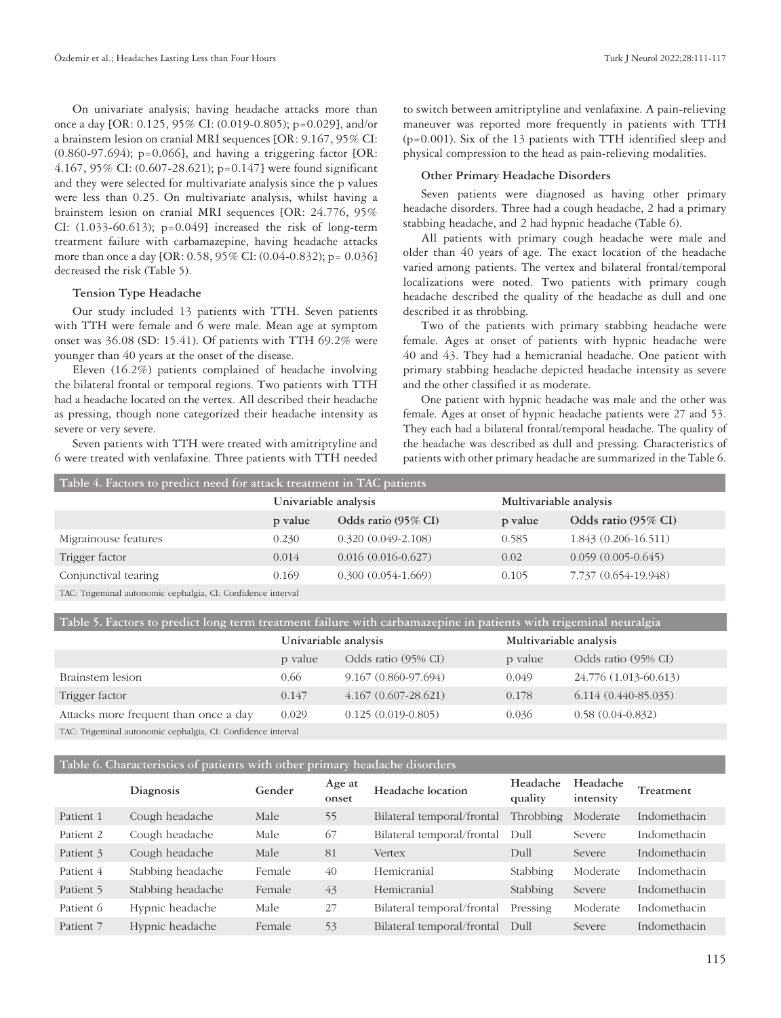On univariate analysis; having headache attacks more than once a day [OR: 0.125, 95% CI: (0.019-0.805); p=0.029], and/or a brainstem lesion on cranial MRI sequences [OR: 9.167, 95% CI: (0.860-97.694); p=0.066], and having a triggering factor [OR: 4.167, 95% CI: (0.607-28.621); p=0.147] were found significant and they were selected for multivariate analysis since the p values were less than 0.25. On multivariate analysis, whilst having a brainstem lesion on cranial MRI sequences [OR: 24.776, 95% CI:  $(1.033-60.613)$ ; p=0.049} increased the risk of long-term treatment failure with carbamazepine, having headache attacks more than once a day [OR: 0.58, 95% CI: (0.04-0.832); p= 0.036] decreased the risk (Table 5).

### **Tension Type Headache**

Our study included 13 patients with TTH. Seven patients with TTH were female and 6 were male. Mean age at symptom onset was 36.08 (SD: 15.41). Of patients with TTH 69.2% were younger than 40 years at the onset of the disease.

Eleven (16.2%) patients complained of headache involving the bilateral frontal or temporal regions. Two patients with TTH had a headache located on the vertex. All described their headache as pressing, though none categorized their headache intensity as severe or very severe.

Seven patients with TTH were treated with amitriptyline and 6 were treated with venlafaxine. Three patients with TTH needed to switch between amitriptyline and venlafaxine. A pain-relieving maneuver was reported more frequently in patients with TTH (p=0.001). Six of the 13 patients with TTH identified sleep and physical compression to the head as pain-relieving modalities.

#### **Other Primary Headache Disorders**

Seven patients were diagnosed as having other primary headache disorders. Three had a cough headache, 2 had a primary stabbing headache, and 2 had hypnic headache (Table 6).

All patients with primary cough headache were male and older than 40 years of age. The exact location of the headache varied among patients. The vertex and bilateral frontal/temporal localizations were noted. Two patients with primary cough headache described the quality of the headache as dull and one described it as throbbing.

Two of the patients with primary stabbing headache were female. Ages at onset of patients with hypnic headache were 40 and 43. They had a hemicranial headache. One patient with primary stabbing headache depicted headache intensity as severe and the other classified it as moderate.

One patient with hypnic headache was male and the other was female. Ages at onset of hypnic headache patients were 27 and 53. They each had a bilateral frontal/temporal headache. The quality of the headache was described as dull and pressing. Characteristics of patients with other primary headache are summarized in the Table 6.

| Table 4. Factors to predict need for attack treatment in TAC patients |                      |                        |                        |                      |  |  |  |
|-----------------------------------------------------------------------|----------------------|------------------------|------------------------|----------------------|--|--|--|
|                                                                       | Univariable analysis |                        | Multivariable analysis |                      |  |  |  |
|                                                                       | p value              | Odds ratio (95% CI)    | p value                | Odds ratio (95% CI)  |  |  |  |
| Migrainouse features                                                  | 0.230                | $0.320(0.049-2.108)$   | 0.585                  | 1.843 (0.206-16.511) |  |  |  |
| Trigger factor                                                        | 0.014                | $0.016(0.016 - 0.627)$ | 0.02                   | $0.059(0.005-0.645)$ |  |  |  |
| Conjunctival tearing                                                  | 0.169                | $0.300(0.054-1.669)$   | 0.105                  | 7.737 (0.654-19.948) |  |  |  |
| TAC: Trigeminal autonomic cephalgia, CI: Confidence interval          |                      |                        |                        |                      |  |  |  |

**Table 5. Factors to predict long term treatment failure with carbamazepine in patients with trigeminal neuralgia**

|                                       | Univariable analysis |                         | Multivariable analysis |                       |
|---------------------------------------|----------------------|-------------------------|------------------------|-----------------------|
|                                       | p value              | Odds ratio (95% CI)     | p value                | Odds ratio (95% CI)   |
| Brainstem lesion                      | 0.66                 | 9.167 (0.860-97.694)    | 0.049                  | 24.776 (1.013-60.613) |
| Trigger factor                        | 0.147                | $4.167(0.607 - 28.621)$ | 0.178                  | $6.114(0.440-85.035)$ |
| Attacks more frequent than once a day | 0.029                | $0.125(0.019-0.805)$    | 0.036                  | $0.58(0.04-0.832)$    |
|                                       |                      |                         |                        |                       |

TAC: Trigeminal autonomic cephalgia, CI: Confidence interval

**Table 6. Characteristics of patients with other primary headache disorders**

|           | Diagnosis         | Gender | Age at<br>onset | Headache location          | Headache<br>quality | Headache<br>intensity | Treatment           |
|-----------|-------------------|--------|-----------------|----------------------------|---------------------|-----------------------|---------------------|
| Patient 1 | Cough headache    | Male   | 55              | Bilateral temporal/frontal | Throbbing           | Moderate              | Indomethacin        |
| Patient 2 | Cough headache    | Male   | 67              | Bilateral temporal/frontal | Dull                | Severe                | <b>Indomethacin</b> |
| Patient 3 | Cough headache    | Male   | 81              | Vertex                     | Dull                | Severe                | Indomethacin        |
| Patient 4 | Stabbing headache | Female | 40              | Hemicranial                | Stabbing            | Moderate              | <b>Indomethacin</b> |
| Patient 5 | Stabbing headache | Female | 43              | Hemicranial                | Stabbing            | Severe                | <b>Indomethacin</b> |
| Patient 6 | Hypnic headache   | Male   | 27              | Bilateral temporal/frontal | Pressing            | Moderate              | Indomethacin        |
| Patient 7 | Hypnic headache   | Female | 53              | Bilateral temporal/frontal | Dull                | Severe                | Indomethacin        |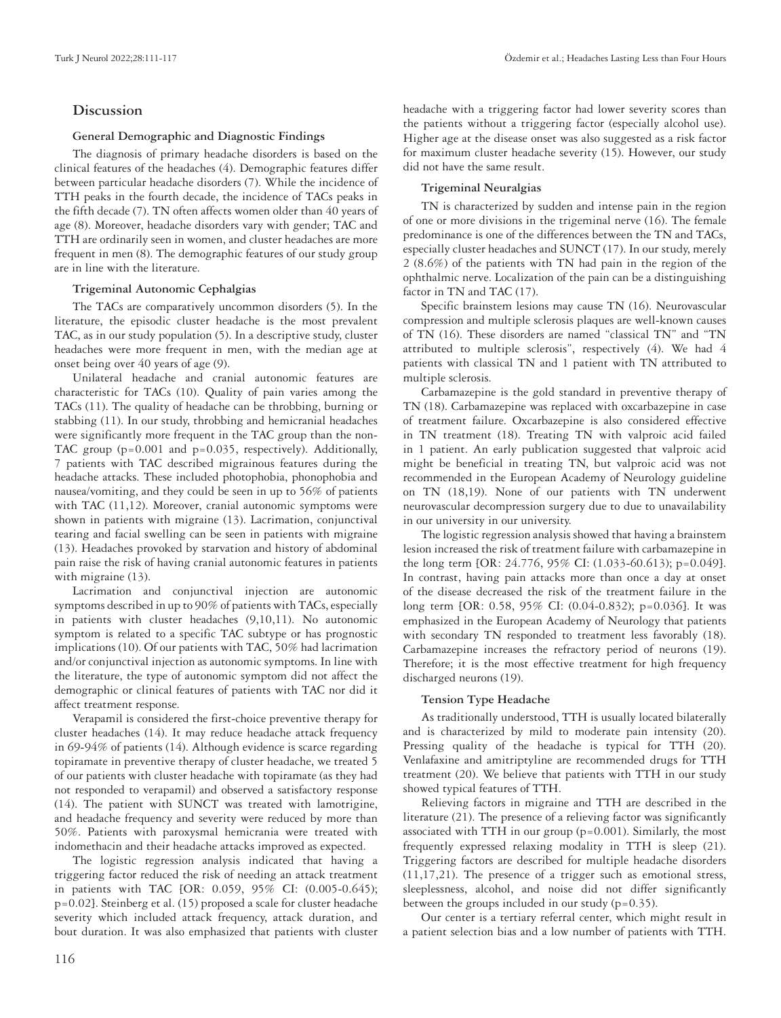# **Discussion**

# **General Demographic and Diagnostic Findings**

The diagnosis of primary headache disorders is based on the clinical features of the headaches (4). Demographic features differ between particular headache disorders (7). While the incidence of TTH peaks in the fourth decade, the incidence of TACs peaks in the fifth decade (7). TN often affects women older than 40 years of age (8). Moreover, headache disorders vary with gender; TAC and TTH are ordinarily seen in women, and cluster headaches are more frequent in men (8). The demographic features of our study group are in line with the literature.

# **Trigeminal Autonomic Cephalgias**

The TACs are comparatively uncommon disorders (5). In the literature, the episodic cluster headache is the most prevalent TAC, as in our study population (5). In a descriptive study, cluster headaches were more frequent in men, with the median age at onset being over 40 years of age (9).

Unilateral headache and cranial autonomic features are characteristic for TACs (10). Quality of pain varies among the TACs (11). The quality of headache can be throbbing, burning or stabbing (11). In our study, throbbing and hemicranial headaches were significantly more frequent in the TAC group than the non-TAC group (p=0.001 and p=0.035, respectively). Additionally, 7 patients with TAC described migrainous features during the headache attacks. These included photophobia, phonophobia and nausea/vomiting, and they could be seen in up to 56% of patients with TAC (11,12). Moreover, cranial autonomic symptoms were shown in patients with migraine (13). Lacrimation, conjunctival tearing and facial swelling can be seen in patients with migraine (13). Headaches provoked by starvation and history of abdominal pain raise the risk of having cranial autonomic features in patients with migraine (13).

Lacrimation and conjunctival injection are autonomic symptoms described in up to 90% of patients with TACs, especially in patients with cluster headaches (9,10,11). No autonomic symptom is related to a specific TAC subtype or has prognostic implications (10). Of our patients with TAC, 50% had lacrimation and/or conjunctival injection as autonomic symptoms. In line with the literature, the type of autonomic symptom did not affect the demographic or clinical features of patients with TAC nor did it affect treatment response.

Verapamil is considered the first-choice preventive therapy for cluster headaches (14). It may reduce headache attack frequency in 69-94% of patients (14). Although evidence is scarce regarding topiramate in preventive therapy of cluster headache, we treated 5 of our patients with cluster headache with topiramate (as they had not responded to verapamil) and observed a satisfactory response (14). The patient with SUNCT was treated with lamotrigine, and headache frequency and severity were reduced by more than 50%. Patients with paroxysmal hemicrania were treated with indomethacin and their headache attacks improved as expected.

The logistic regression analysis indicated that having a triggering factor reduced the risk of needing an attack treatment in patients with TAC [OR: 0.059, 95% CI: (0.005-0.645); p=0.02]. Steinberg et al. (15) proposed a scale for cluster headache severity which included attack frequency, attack duration, and bout duration. It was also emphasized that patients with cluster

headache with a triggering factor had lower severity scores than the patients without a triggering factor (especially alcohol use). Higher age at the disease onset was also suggested as a risk factor for maximum cluster headache severity (15). However, our study did not have the same result.

# **Trigeminal Neuralgias**

TN is characterized by sudden and intense pain in the region of one or more divisions in the trigeminal nerve (16). The female predominance is one of the differences between the TN and TACs, especially cluster headaches and SUNCT (17). In our study, merely 2 (8.6%) of the patients with TN had pain in the region of the ophthalmic nerve. Localization of the pain can be a distinguishing factor in TN and TAC  $(17)$ .

Specific brainstem lesions may cause TN (16). Neurovascular compression and multiple sclerosis plaques are well-known causes of TN (16). These disorders are named "classical TN" and "TN attributed to multiple sclerosis", respectively (4). We had 4 patients with classical TN and 1 patient with TN attributed to multiple sclerosis.

Carbamazepine is the gold standard in preventive therapy of TN (18). Carbamazepine was replaced with oxcarbazepine in case of treatment failure. Oxcarbazepine is also considered effective in TN treatment (18). Treating TN with valproic acid failed in 1 patient. An early publication suggested that valproic acid might be beneficial in treating TN, but valproic acid was not recommended in the European Academy of Neurology guideline on TN (18,19). None of our patients with TN underwent neurovascular decompression surgery due to due to unavailability in our university in our university.

The logistic regression analysis showed that having a brainstem lesion increased the risk of treatment failure with carbamazepine in the long term [OR: 24.776, 95% CI: (1.033-60.613); p=0.049]. In contrast, having pain attacks more than once a day at onset of the disease decreased the risk of the treatment failure in the long term [OR: 0.58, 95% CI: (0.04-0.832); p=0.036]. It was emphasized in the European Academy of Neurology that patients with secondary TN responded to treatment less favorably (18). Carbamazepine increases the refractory period of neurons (19). Therefore; it is the most effective treatment for high frequency discharged neurons (19).

# **Tension Type Headache**

As traditionally understood, TTH is usually located bilaterally and is characterized by mild to moderate pain intensity (20). Pressing quality of the headache is typical for TTH (20). Venlafaxine and amitriptyline are recommended drugs for TTH treatment (20). We believe that patients with TTH in our study showed typical features of TTH.

Relieving factors in migraine and TTH are described in the literature (21). The presence of a relieving factor was significantly associated with TTH in our group (p=0.001). Similarly, the most frequently expressed relaxing modality in TTH is sleep (21). Triggering factors are described for multiple headache disorders (11,17,21). The presence of a trigger such as emotional stress, sleeplessness, alcohol, and noise did not differ significantly between the groups included in our study (p=0.35).

Our center is a tertiary referral center, which might result in a patient selection bias and a low number of patients with TTH.